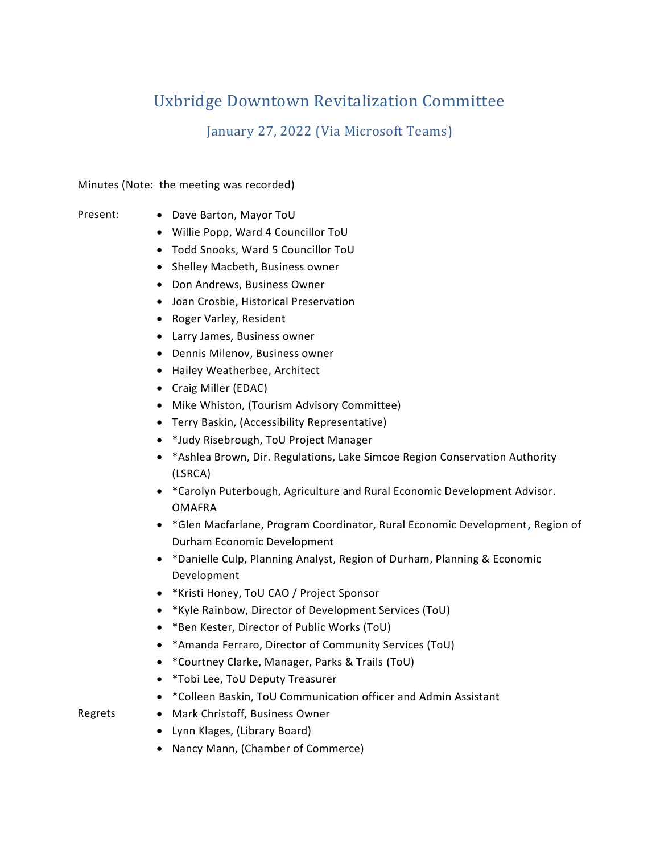# Uxbridge Downtown Revitalization Committee

January 27, 2022 (Via Microsoft Teams)

Minutes (Note: the meeting was recorded)

- Present: Dave Barton, Mayor ToU
	- Willie Popp, Ward 4 Councillor ToU
	- Todd Snooks, Ward 5 Councillor ToU
	- Shelley Macbeth, Business owner
	- Don Andrews, Business Owner
	- Joan Crosbie, Historical Preservation
	- Roger Varley, Resident
	- Larry James, Business owner
	- Dennis Milenov, Business owner
	- Hailey Weatherbee, Architect
	- Craig Miller (EDAC)
	- Mike Whiston, (Tourism Advisory Committee)
	- Terry Baskin, (Accessibility Representative)
	- \*Judy Risebrough, ToU Project Manager
	- \*Ashlea Brown, Dir. Regulations, Lake Simcoe Region Conservation Authority (LSRCA)
	- \*Carolyn Puterbough, Agriculture and Rural Economic Development Advisor. OMAFRA
	- \*Glen Macfarlane, Program Coordinator, Rural Economic Development**,** Region of Durham Economic Development
	- \*Danielle Culp, Planning Analyst, Region of Durham, Planning & Economic Development
	- \*Kristi Honey, ToU CAO / Project Sponsor
	- \*Kyle Rainbow, Director of Development Services (ToU)
	- \*Ben Kester, Director of Public Works (ToU)
	- \*Amanda Ferraro, Director of Community Services (ToU)
	- \*Courtney Clarke, Manager, Parks & Trails (ToU)
	- \*Tobi Lee, ToU Deputy Treasurer
	- \*Colleen Baskin, ToU Communication officer and Admin Assistant

# Regrets • Mark Christoff, Business Owner

- Lynn Klages, (Library Board)
- Nancy Mann, (Chamber of Commerce)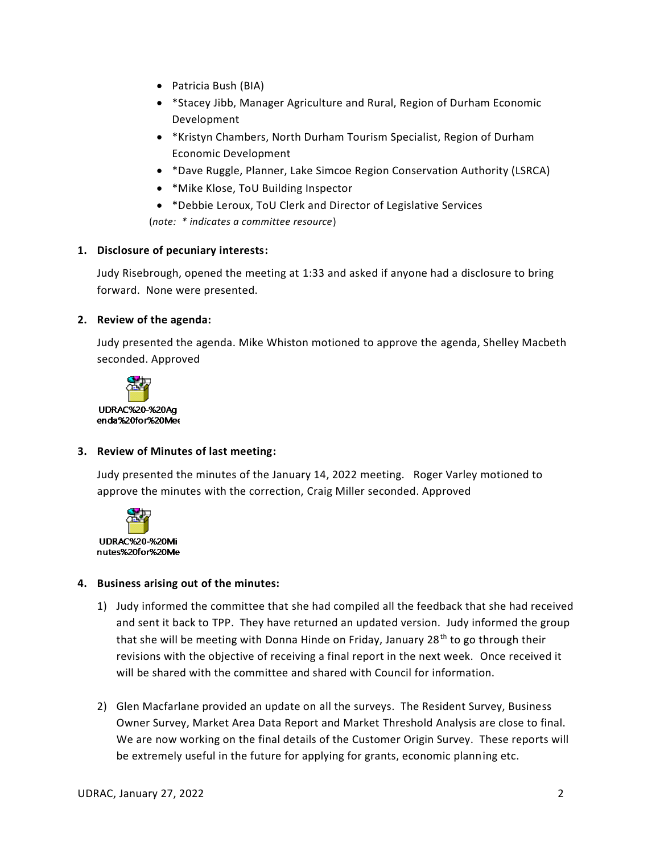- Patricia Bush (BIA)
- \*Stacey Jibb, Manager Agriculture and Rural, Region of Durham Economic Development
- \*Kristyn Chambers, North Durham Tourism Specialist, Region of Durham Economic Development
- \*Dave Ruggle, Planner, Lake Simcoe Region Conservation Authority (LSRCA)
- \*Mike Klose, ToU Building Inspector
- \*Debbie Leroux, ToU Clerk and Director of Legislative Services (*note: \* indicates a committee resource*)

#### **1. Disclosure of pecuniary interests:**

Judy Risebrough, opened the meeting at 1:33 and asked if anyone had a disclosure to bring forward. None were presented.

#### **2. Review of the agenda:**

Judy presented the agenda. Mike Whiston motioned to approve the agenda, Shelley Macbeth seconded. Approved



### **3. Review of Minutes of last meeting:**

Judy presented the minutes of the January 14, 2022 meeting. Roger Varley motioned to approve the minutes with the correction, Craig Miller seconded. Approved



#### **4. Business arising out of the minutes:**

- 1) Judy informed the committee that she had compiled all the feedback that she had received and sent it back to TPP. They have returned an updated version. Judy informed the group that she will be meeting with Donna Hinde on Friday, January  $28<sup>th</sup>$  to go through their revisions with the objective of receiving a final report in the next week. Once received it will be shared with the committee and shared with Council for information.
- 2) Glen Macfarlane provided an update on all the surveys. The Resident Survey, Business Owner Survey, Market Area Data Report and Market Threshold Analysis are close to final. We are now working on the final details of the Customer Origin Survey. These reports will be extremely useful in the future for applying for grants, economic planning etc.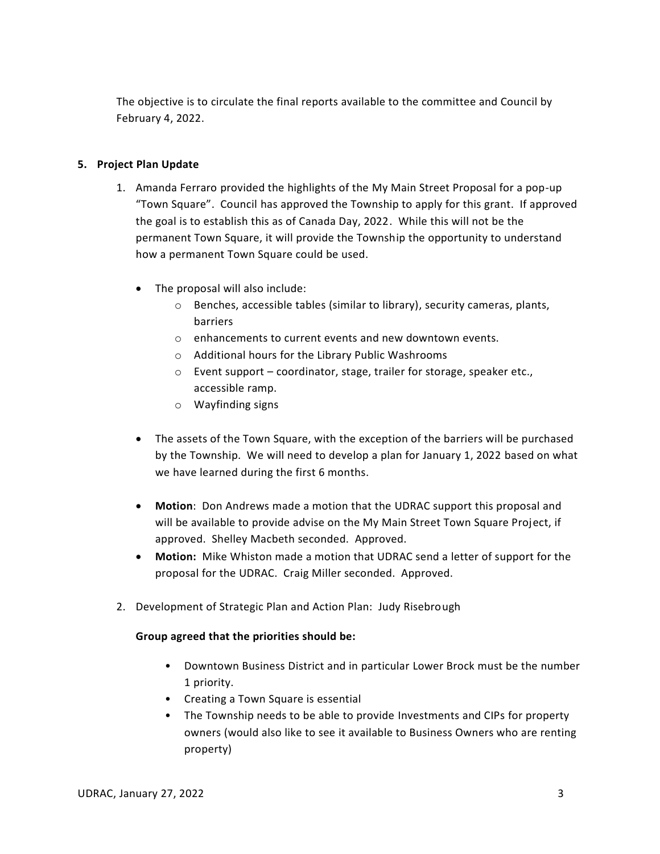The objective is to circulate the final reports available to the committee and Council by February 4, 2022.

## **5. Project Plan Update**

- 1. Amanda Ferraro provided the highlights of the My Main Street Proposal for a pop-up "Town Square". Council has approved the Township to apply for this grant. If approved the goal is to establish this as of Canada Day, 2022. While this will not be the permanent Town Square, it will provide the Township the opportunity to understand how a permanent Town Square could be used.
	- The proposal will also include:
		- o Benches, accessible tables (similar to library), security cameras, plants, barriers
		- o enhancements to current events and new downtown events.
		- o Additional hours for the Library Public Washrooms
		- o Event support coordinator, stage, trailer for storage, speaker etc., accessible ramp.
		- o Wayfinding signs
	- The assets of the Town Square, with the exception of the barriers will be purchased by the Township. We will need to develop a plan for January 1, 2022 based on what we have learned during the first 6 months.
	- **Motion**: Don Andrews made a motion that the UDRAC support this proposal and will be available to provide advise on the My Main Street Town Square Project, if approved. Shelley Macbeth seconded. Approved.
	- **Motion:** Mike Whiston made a motion that UDRAC send a letter of support for the proposal for the UDRAC. Craig Miller seconded. Approved.
- 2. Development of Strategic Plan and Action Plan: Judy Risebrough

### **Group agreed that the priorities should be:**

- Downtown Business District and in particular Lower Brock must be the number 1 priority.
- Creating a Town Square is essential
- The Township needs to be able to provide Investments and CIPs for property owners (would also like to see it available to Business Owners who are renting property)